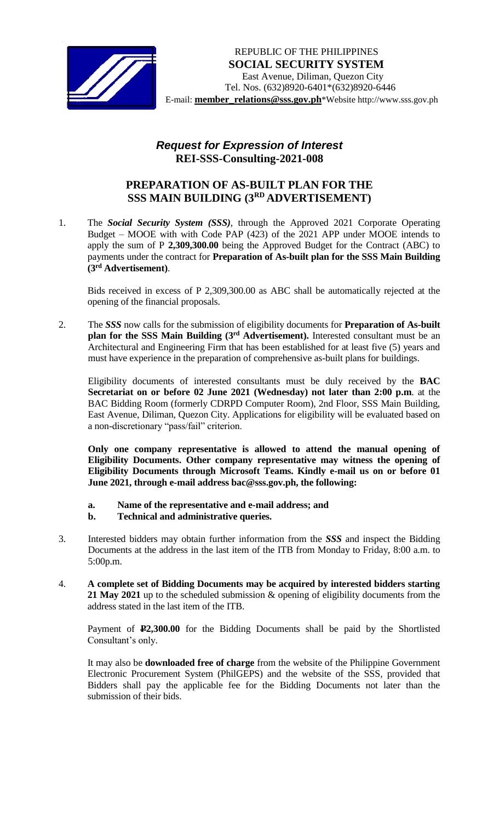

## *Request for Expression of Interest*  **REI-SSS-Consulting-2021-008**

## **PREPARATION OF AS-BUILT PLAN FOR THE SSS MAIN BUILDING (3 RD ADVERTISEMENT)**

1. The *Social Security System (SSS)*, through the Approved 2021 Corporate Operating Budget – MOOE with with Code PAP (423) of the 2021 APP under MOOE intends to apply the sum of P **2,309,300.00** being the Approved Budget for the Contract (ABC) to payments under the contract for **Preparation of As-built plan for the SSS Main Building (3 rd Advertisement)**.

Bids received in excess of P 2,309,300.00 as ABC shall be automatically rejected at the opening of the financial proposals.

2. The *SSS* now calls for the submission of eligibility documents for **Preparation of As-built**  plan for the SSS Main Building (3<sup>rd</sup> Advertisement). Interested consultant must be an Architectural and Engineering Firm that has been established for at least five (5) years and must have experience in the preparation of comprehensive as-built plans for buildings.

Eligibility documents of interested consultants must be duly received by the **BAC Secretariat on or before 02 June 2021 (Wednesday) not later than 2:00 p.m**. at the BAC Bidding Room (formerly CDRPD Computer Room), 2nd Floor, SSS Main Building, East Avenue, Diliman, Quezon City. Applications for eligibility will be evaluated based on a non-discretionary "pass/fail" criterion.

**Only one company representative is allowed to attend the manual opening of Eligibility Documents. Other company representative may witness the opening of Eligibility Documents through Microsoft Teams. Kindly e-mail us on or before 01 June 2021, through e-mail address bac@sss.gov.ph, the following:**

- **a. Name of the representative and e-mail address; and**
- **b. Technical and administrative queries.**
- 3. Interested bidders may obtain further information from the *SSS* and inspect the Bidding Documents at the address in the last item of the ITB from Monday to Friday, 8:00 a.m. to 5:00p.m.
- 4. **A complete set of Bidding Documents may be acquired by interested bidders starting 21 May 2021** up to the scheduled submission & opening of eligibility documents from the address stated in the last item of the ITB.

Payment of **P2,300.00** for the Bidding Documents shall be paid by the Shortlisted Consultant's only.

It may also be **downloaded free of charge** from the website of the Philippine Government Electronic Procurement System (PhilGEPS) and the website of the SSS*,* provided that Bidders shall pay the applicable fee for the Bidding Documents not later than the submission of their bids.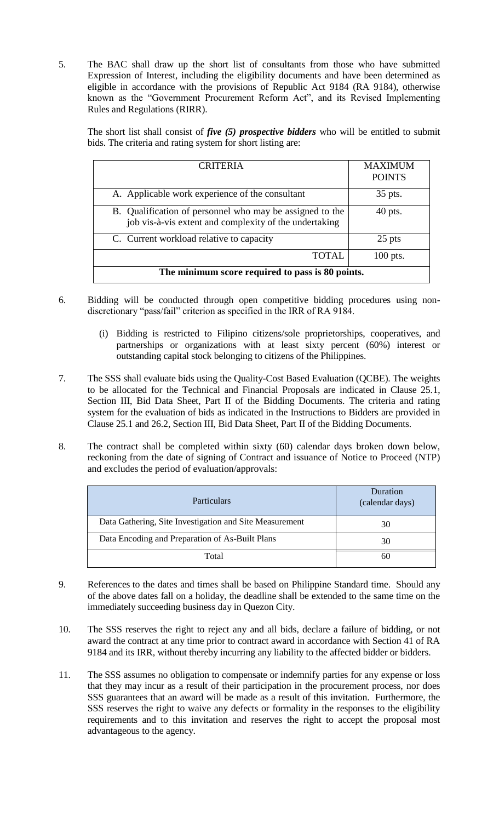5. The BAC shall draw up the short list of consultants from those who have submitted Expression of Interest, including the eligibility documents and have been determined as eligible in accordance with the provisions of Republic Act 9184 (RA 9184), otherwise known as the "Government Procurement Reform Act", and its Revised Implementing Rules and Regulations (RIRR).

| bids. The criteria and rating system for short listing are: |                 |               |  |  |
|-------------------------------------------------------------|-----------------|---------------|--|--|
|                                                             | <b>CRITERIA</b> | MAXIMUM       |  |  |
|                                                             |                 | <b>POINTS</b> |  |  |

The short list shall consist of *five (5) prospective bidders* who will be entitled to submit

| <u>UNITENIA</u>                                                                                                    | <u>IVI/WALIVIUJIVI</u><br><b>POINTS</b> |  |  |
|--------------------------------------------------------------------------------------------------------------------|-----------------------------------------|--|--|
| A. Applicable work experience of the consultant                                                                    | 35 pts.                                 |  |  |
| B. Qualification of personnel who may be assigned to the<br>job vis-à-vis extent and complexity of the undertaking | $40$ pts.                               |  |  |
| C. Current workload relative to capacity                                                                           | 25 pts                                  |  |  |
| <b>TOTAL</b>                                                                                                       | $100$ pts.                              |  |  |
| The minimum score required to pass is 80 points.                                                                   |                                         |  |  |

- 6. Bidding will be conducted through open competitive bidding procedures using nondiscretionary "pass/fail" criterion as specified in the IRR of RA 9184.
	- (i) Bidding is restricted to Filipino citizens/sole proprietorships, cooperatives, and partnerships or organizations with at least sixty percent (60%) interest or outstanding capital stock belonging to citizens of the Philippines.
- 7. The SSS shall evaluate bids using the Quality-Cost Based Evaluation (QCBE). The weights to be allocated for the Technical and Financial Proposals are indicated in Clause 25.1, Section III, Bid Data Sheet, Part II of the Bidding Documents. The criteria and rating system for the evaluation of bids as indicated in the Instructions to Bidders are provided in Clause 25.1 and 26.2, Section III, Bid Data Sheet, Part II of the Bidding Documents.
- 8. The contract shall be completed within sixty (60) calendar days broken down below, reckoning from the date of signing of Contract and issuance of Notice to Proceed (NTP) and excludes the period of evaluation/approvals:

| Particulars                                             | Duration<br>(calendar days) |
|---------------------------------------------------------|-----------------------------|
| Data Gathering, Site Investigation and Site Measurement | 30                          |
| Data Encoding and Preparation of As-Built Plans         | 30                          |
| Total                                                   | 60                          |

- 9. References to the dates and times shall be based on Philippine Standard time. Should any of the above dates fall on a holiday, the deadline shall be extended to the same time on the immediately succeeding business day in Quezon City.
- 10. The SSS reserves the right to reject any and all bids, declare a failure of bidding, or not award the contract at any time prior to contract award in accordance with Section 41 of RA 9184 and its IRR, without thereby incurring any liability to the affected bidder or bidders.
- 11. The SSS assumes no obligation to compensate or indemnify parties for any expense or loss that they may incur as a result of their participation in the procurement process, nor does SSS guarantees that an award will be made as a result of this invitation. Furthermore, the SSS reserves the right to waive any defects or formality in the responses to the eligibility requirements and to this invitation and reserves the right to accept the proposal most advantageous to the agency.